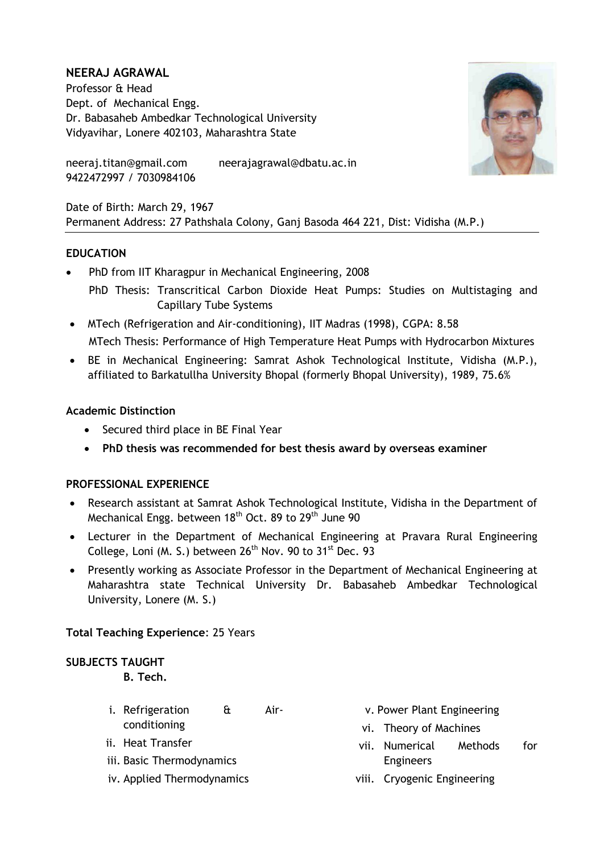# **NEERAJ AGRAWAL**

Professor & Head Dept. of Mechanical Engg. Dr. Babasaheb Ambedkar Technological University Vidyavihar, Lonere 402103, Maharashtra State



neeraj.titan@gmail.com neerajagrawal@dbatu.ac.in 9422472997 / 7030984106

Date of Birth: March 29, 1967 Permanent Address: 27 Pathshala Colony, Ganj Basoda 464 221, Dist: Vidisha (M.P.)

# **EDUCATION**

- PhD from IIT Kharagpur in Mechanical Engineering, 2008 PhD Thesis: Transcritical Carbon Dioxide Heat Pumps: Studies on Multistaging and Capillary Tube Systems
- MTech (Refrigeration and Air-conditioning), IIT Madras (1998), CGPA: 8.58 MTech Thesis: Performance of High Temperature Heat Pumps with Hydrocarbon Mixtures
- BE in Mechanical Engineering: Samrat Ashok Technological Institute, Vidisha (M.P.), affiliated to Barkatullha University Bhopal (formerly Bhopal University), 1989, 75.6%

#### **Academic Distinction**

- Secured third place in BE Final Year
- **PhD thesis was recommended for best thesis award by overseas examiner**

# **PROFESSIONAL EXPERIENCE**

- Research assistant at Samrat Ashok Technological Institute, Vidisha in the Department of Mechanical Engg. between 18<sup>th</sup> Oct. 89 to 29<sup>th</sup> June 90
- Lecturer in the Department of Mechanical Engineering at Pravara Rural Engineering College, Loni (M. S.) between  $26<sup>th</sup>$  Nov. 90 to 31<sup>st</sup> Dec. 93
- Presently working as Associate Professor in the Department of Mechanical Engineering at Maharashtra state Technical University Dr. Babasaheb Ambedkar Technological University, Lonere (M. S.)

**Total Teaching Experience**: 25 Years

#### **SUBJECTS TAUGHT B. Tech.**

- i. Refrigeration & Airconditioning
- ii. Heat Transfer
- iii. Basic Thermodynamics
- iv. Applied Thermodynamics
- v. Power Plant Engineering
- vi. Theory of Machines
- vii. Numerical Methods for Engineers
- viii. Cryogenic Engineering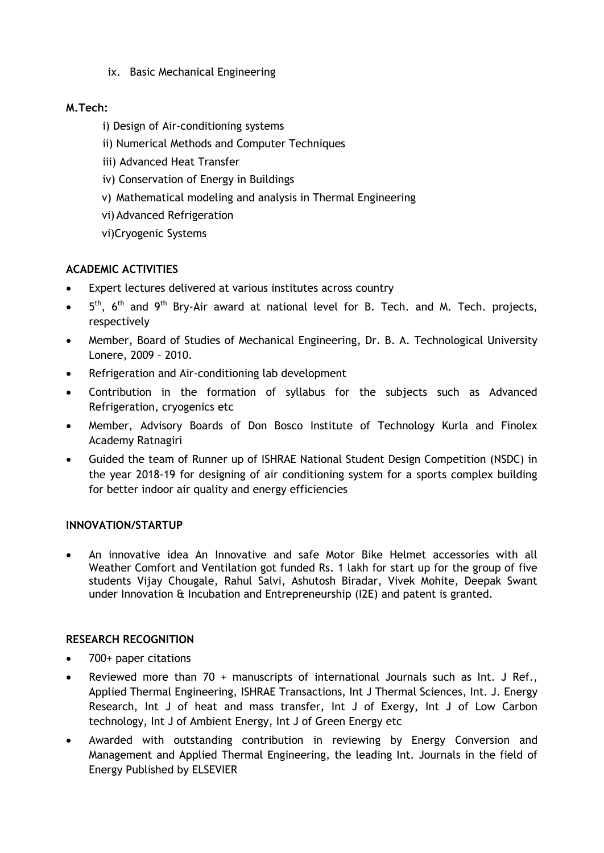ix. Basic Mechanical Engineering

# **M.Tech:**

- i) Design of Air-conditioning systems
- ii) Numerical Methods and Computer Techniques
- iii) Advanced Heat Transfer
- iv) Conservation of Energy in Buildings
- v) Mathematical modeling and analysis in Thermal Engineering
- vi) Advanced Refrigeration
- vi)Cryogenic Systems

# **ACADEMIC ACTIVITIES**

- Expert lectures delivered at various institutes across country
- $\bullet$  5<sup>th</sup>, 6<sup>th</sup> and 9<sup>th</sup> Bry-Air award at national level for B. Tech. and M. Tech. projects, respectively
- Member, Board of Studies of Mechanical Engineering, Dr. B. A. Technological University Lonere, 2009 – 2010.
- Refrigeration and Air-conditioning lab development
- Contribution in the formation of syllabus for the subjects such as Advanced Refrigeration, cryogenics etc
- Member, Advisory Boards of Don Bosco Institute of Technology Kurla and Finolex Academy Ratnagiri
- Guided the team of Runner up of ISHRAE National Student Design Competition (NSDC) in the year 2018-19 for designing of air conditioning system for a sports complex building for better indoor air quality and energy efficiencies

# **INNOVATION/STARTUP**

 An innovative idea An Innovative and safe Motor Bike Helmet accessories with all Weather Comfort and Ventilation got funded Rs. 1 lakh for start up for the group of five students Vijay Chougale, Rahul Salvi, Ashutosh Biradar, Vivek Mohite, Deepak Swant under Innovation & Incubation and Entrepreneurship (I2E) and patent is granted.

# **RESEARCH RECOGNITION**

- 700+ paper citations
- Reviewed more than 70 + manuscripts of international Journals such as Int. J Ref., Applied Thermal Engineering, ISHRAE Transactions, Int J Thermal Sciences, Int. J. Energy Research, Int J of heat and mass transfer, Int J of Exergy, Int J of Low Carbon technology, Int J of Ambient Energy, Int J of Green Energy etc
- Awarded with outstanding contribution in reviewing by Energy Conversion and Management and Applied Thermal Engineering, the leading Int. Journals in the field of Energy Published by ELSEVIER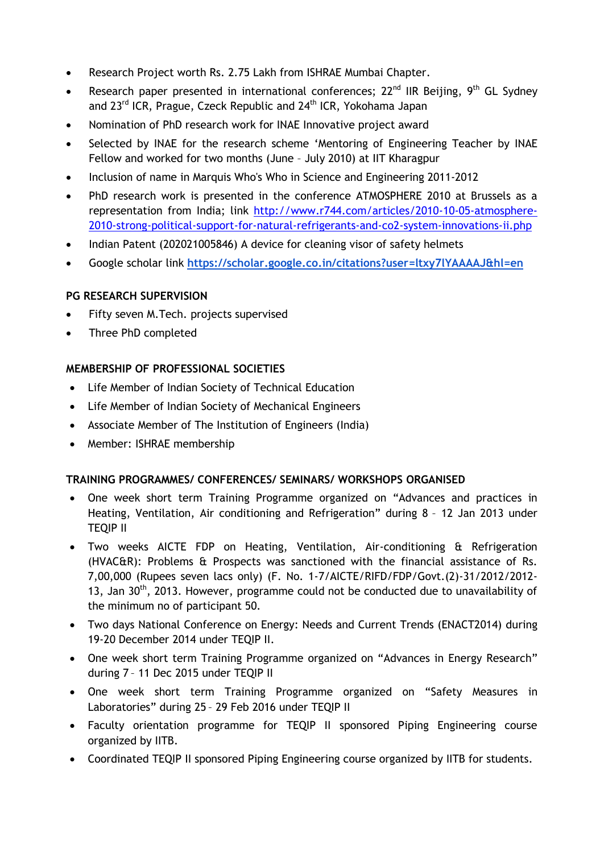- Research Project worth Rs. 2.75 Lakh from ISHRAE Mumbai Chapter.
- Research paper presented in international conferences;  $22^{nd}$  IIR Beijing,  $9^{th}$  GL Sydney and 23<sup>rd</sup> ICR, Prague, Czeck Republic and 24<sup>th</sup> ICR, Yokohama Japan
- Nomination of PhD research work for INAE Innovative project award
- Selected by INAE for the research scheme 'Mentoring of Engineering Teacher by INAE Fellow and worked for two months (June – July 2010) at IIT Kharagpur
- Inclusion of name in Marquis Who's Who in Science and Engineering 2011-2012
- PhD research work is presented in the conference ATMOSPHERE 2010 at Brussels as a representation from India; link [http://www.r744.com/articles/2010-10-05-atmosphere-](http://www.r744.com/articles/2010-10-05-atmosphere-2010-strong-political-support-for-natural-refrigerants-and-co2-system-innovations-ii.php)[2010-strong-political-support-for-natural-refrigerants-and-co2-system-innovations-ii.php](http://www.r744.com/articles/2010-10-05-atmosphere-2010-strong-political-support-for-natural-refrigerants-and-co2-system-innovations-ii.php)
- Indian Patent (202021005846) A device for cleaning visor of safety helmets
- Google scholar link **<https://scholar.google.co.in/citations?user=ltxy7lYAAAAJ&hl=en>**

# **PG RESEARCH SUPERVISION**

- Fifty seven M.Tech. projects supervised
- Three PhD completed

# **MEMBERSHIP OF PROFESSIONAL SOCIETIES**

- Life Member of Indian Society of Technical Education
- Life Member of Indian Society of Mechanical Engineers
- Associate Member of The Institution of Engineers (India)
- Member: ISHRAE membership

# **TRAINING PROGRAMMES/ CONFERENCES/ SEMINARS/ WORKSHOPS ORGANISED**

- One week short term Training Programme organized on "Advances and practices in Heating, Ventilation, Air conditioning and Refrigeration" during 8 – 12 Jan 2013 under TEQIP II
- Two weeks AICTE FDP on Heating, Ventilation, Air-conditioning & Refrigeration (HVAC&R): Problems & Prospects was sanctioned with the financial assistance of Rs. 7,00,000 (Rupees seven lacs only) (F. No. 1-7/AICTE/RIFD/FDP/Govt.(2)-31/2012/2012- 13, Jan  $30<sup>th</sup>$ , 2013. However, programme could not be conducted due to unavailability of the minimum no of participant 50.
- Two days National Conference on Energy: Needs and Current Trends (ENACT2014) during 19-20 December 2014 under TEQIP II.
- One week short term Training Programme organized on "Advances in Energy Research" during 7 – 11 Dec 2015 under TEQIP II
- One week short term Training Programme organized on "Safety Measures in Laboratories" during 25 – 29 Feb 2016 under TEQIP II
- Faculty orientation programme for TEQIP II sponsored Piping Engineering course organized by IITB.
- Coordinated TEQIP II sponsored Piping Engineering course organized by IITB for students.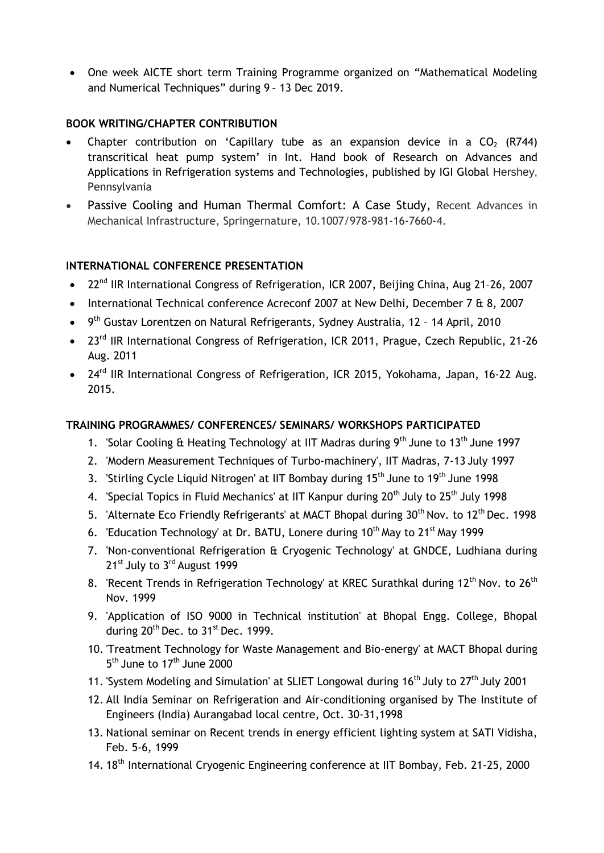One week AICTE short term Training Programme organized on "Mathematical Modeling and Numerical Techniques" during 9 – 13 Dec 2019.

### **BOOK WRITING/CHAPTER CONTRIBUTION**

- Chapter contribution on 'Capillary tube as an expansion device in a  $CO<sub>2</sub>$  (R744) transcritical heat pump system' in Int. Hand book of Research on Advances and Applications in Refrigeration systems and Technologies, published by IGI Global Hershey, Pennsylvania
- Passive Cooling and Human Thermal Comfort: A Case Study, Recent Advances in Mechanical Infrastructure, Springernature, 10.1007/978-981-16-7660-4.

#### **INTERNATIONAL CONFERENCE PRESENTATION**

- 22<sup>nd</sup> IIR International Congress of Refrigeration, ICR 2007, Beijing China, Aug 21-26, 2007
- International Technical conference Acreconf 2007 at New Delhi, December 7 & 8, 2007
- 9<sup>th</sup> Gustav Lorentzen on Natural Refrigerants, Sydney Australia, 12 14 April, 2010
- 23<sup>rd</sup> IIR International Congress of Refrigeration, ICR 2011, Prague, Czech Republic, 21-26 Aug. 2011
- 24<sup>rd</sup> IIR International Congress of Refrigeration, ICR 2015, Yokohama, Japan, 16-22 Aug. 2015.

#### **TRAINING PROGRAMMES/ CONFERENCES/ SEMINARS/ WORKSHOPS PARTICIPATED**

- 1. 'Solar Cooling & Heating Technology' at IIT Madras during  $9<sup>th</sup>$  June to 13<sup>th</sup> June 1997
- 2. 'Modern Measurement Techniques of Turbo-machinery', IIT Madras, 7-13 July 1997
- 3. 'Stirling Cycle Liquid Nitrogen' at IIT Bombay during  $15<sup>th</sup>$  June to  $19<sup>th</sup>$  June 1998
- 4. 'Special Topics in Fluid Mechanics' at IIT Kanpur during 20<sup>th</sup> July to 25<sup>th</sup> July 1998
- 5. 'Alternate Eco Friendly Refrigerants' at MACT Bhopal during 30<sup>th</sup> Nov. to 12<sup>th</sup> Dec. 1998
- 6. 'Education Technology' at Dr. BATU, Lonere during  $10<sup>th</sup>$  May to  $21<sup>st</sup>$  May 1999
- 7. 'Non-conventional Refrigeration & Cryogenic Technology' at GNDCE, Ludhiana during 21<sup>st</sup> July to 3<sup>rd</sup> August 1999
- 8. 'Recent Trends in Refrigeration Technology' at KREC Surathkal during  $12<sup>th</sup>$  Nov. to  $26<sup>th</sup>$ Nov. 1999
- 9. 'Application of ISO 9000 in Technical institution' at Bhopal Engg. College, Bhopal during 20<sup>th</sup> Dec. to 31<sup>st</sup> Dec. 1999.
- 10. 'Treatment Technology for Waste Management and Bio-energy' at MACT Bhopal during 5<sup>th</sup> June to 17<sup>th</sup> June 2000
- 11. 'System Modeling and Simulation' at SLIET Longowal during 16<sup>th</sup> July to 27<sup>th</sup> July 2001
- 12. All India Seminar on Refrigeration and Air-conditioning organised by The Institute of Engineers (India) Aurangabad local centre, Oct. 30-31,1998
- 13. National seminar on Recent trends in energy efficient lighting system at SATI Vidisha, Feb. 5-6, 1999
- 14. 18<sup>th</sup> International Cryogenic Engineering conference at IIT Bombay, Feb. 21-25, 2000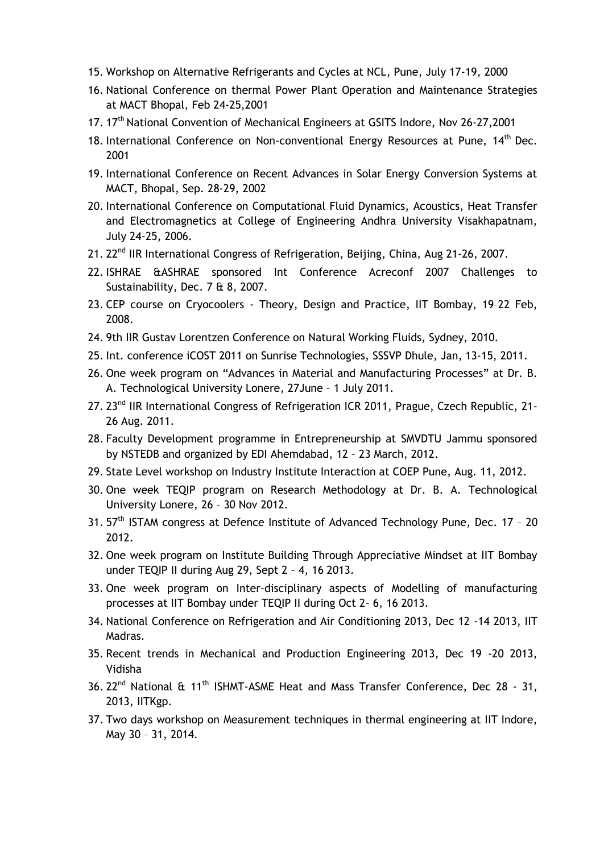- 15. Workshop on Alternative Refrigerants and Cycles at NCL, Pune, July 17-19, 2000
- 16. National Conference on thermal Power Plant Operation and Maintenance Strategies at MACT Bhopal, Feb 24-25,2001
- 17. 17<sup>th</sup> National Convention of Mechanical Engineers at GSITS Indore, Nov 26-27,2001
- 18. International Conference on Non-conventional Energy Resources at Pune, 14<sup>th</sup> Dec. 2001
- 19. International Conference on Recent Advances in Solar Energy Conversion Systems at MACT, Bhopal, Sep. 28-29, 2002
- 20. International Conference on Computational Fluid Dynamics, Acoustics, Heat Transfer and Electromagnetics at College of Engineering Andhra University Visakhapatnam, July 24-25, 2006.
- 21. 22<sup>nd</sup> IIR International Congress of Refrigeration, Beijing, China, Aug 21-26, 2007.
- 22. ISHRAE &ASHRAE sponsored Int Conference Acreconf 2007 Challenges to Sustainability, Dec. 7 & 8, 2007.
- 23. CEP course on Cryocoolers Theory, Design and Practice, IIT Bombay, 19–22 Feb, 2008.
- 24. 9th IIR Gustav Lorentzen Conference on Natural Working Fluids, Sydney, 2010.
- 25. Int. conference iCOST 2011 on Sunrise Technologies, SSSVP Dhule, Jan, 13-15, 2011.
- 26. One week program on "Advances in Material and Manufacturing Processes" at Dr. B. A. Technological University Lonere, 27June – 1 July 2011.
- 27. 23<sup>nd</sup> IIR International Congress of Refrigeration ICR 2011, Prague, Czech Republic, 21-26 Aug. 2011.
- 28. Faculty Development programme in Entrepreneurship at SMVDTU Jammu sponsored by NSTEDB and organized by EDI Ahemdabad, 12 – 23 March, 2012.
- 29. State Level workshop on Industry Institute Interaction at COEP Pune, Aug. 11, 2012.
- 30. One week TEQIP program on Research Methodology at Dr. B. A. Technological University Lonere, 26 – 30 Nov 2012.
- 31. 57<sup>th</sup> ISTAM congress at Defence Institute of Advanced Technology Pune, Dec. 17 20 2012.
- 32. One week program on Institute Building Through Appreciative Mindset at IIT Bombay under TEQIP II during Aug 29, Sept 2 – 4, 16 2013.
- 33. One week program on Inter-disciplinary aspects of Modelling of manufacturing processes at IIT Bombay under TEQIP II during Oct 2– 6, 16 2013.
- 34. National Conference on Refrigeration and Air Conditioning 2013, Dec 12 -14 2013, IIT Madras.
- 35. Recent trends in Mechanical and Production Engineering 2013, Dec 19 -20 2013, Vidisha
- 36. 22<sup>nd</sup> National & 11<sup>th</sup> ISHMT-ASME Heat and Mass Transfer Conference, Dec 28 31, 2013, IITKgp.
- 37. Two days workshop on Measurement techniques in thermal engineering at IIT Indore, May 30 – 31, 2014.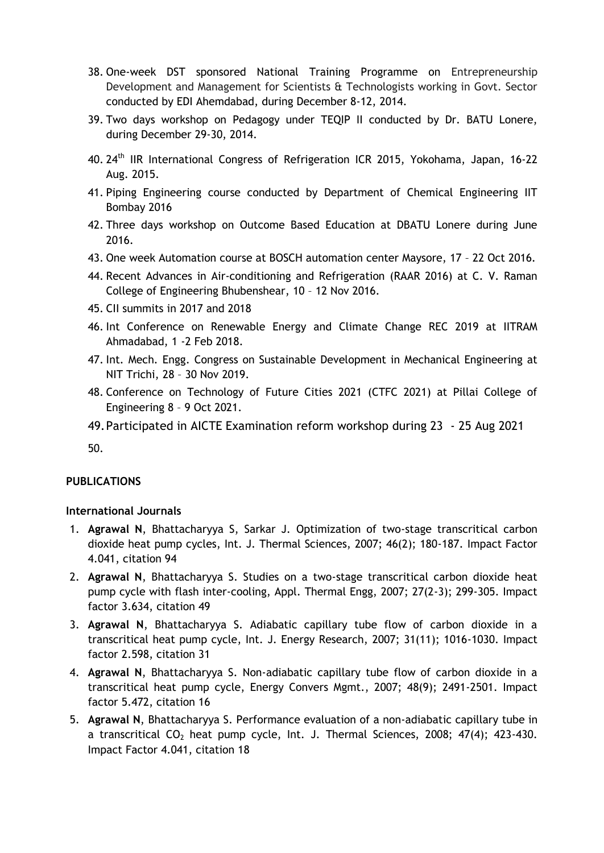- 38. One-week DST sponsored National Training Programme on Entrepreneurship Development and Management for Scientists & Technologists working in Govt. Sector conducted by EDI Ahemdabad, during December 8-12, 2014.
- 39. Two days workshop on Pedagogy under TEQIP II conducted by Dr. BATU Lonere, during December 29-30, 2014.
- 40. 24<sup>th</sup> IIR International Congress of Refrigeration ICR 2015, Yokohama, Japan, 16-22 Aug. 2015.
- 41. Piping Engineering course conducted by Department of Chemical Engineering IIT Bombay 2016
- 42. Three days workshop on Outcome Based Education at DBATU Lonere during June 2016.
- 43. One week Automation course at BOSCH automation center Maysore, 17 22 Oct 2016.
- 44. Recent Advances in Air-conditioning and Refrigeration (RAAR 2016) at C. V. Raman College of Engineering Bhubenshear, 10 – 12 Nov 2016.
- 45. CII summits in 2017 and 2018
- 46. Int Conference on Renewable Energy and Climate Change REC 2019 at IITRAM Ahmadabad, 1 -2 Feb 2018.
- 47. Int. Mech. Engg. Congress on Sustainable Development in Mechanical Engineering at NIT Trichi, 28 – 30 Nov 2019.
- 48. Conference on Technology of Future Cities 2021 (CTFC 2021) at Pillai College of Engineering 8 – 9 Oct 2021.
- 49.Participated in AICTE Examination reform workshop during 23 25 Aug 2021

50.

#### **PUBLICATIONS**

#### **International Journals**

- 1. **Agrawal N**, Bhattacharyya S, Sarkar J. Optimization of two-stage transcritical carbon dioxide heat pump cycles, Int. J. Thermal Sciences, 2007; 46(2); 180-187. Impact Factor 4.041, citation 94
- 2. **Agrawal N**, Bhattacharyya S. Studies on a two-stage transcritical carbon dioxide heat pump cycle with flash inter-cooling, Appl. Thermal Engg, 2007; 27(2-3); 299-305. Impact factor 3.634, citation 49
- 3. **Agrawal N**, Bhattacharyya S. Adiabatic capillary tube flow of carbon dioxide in a transcritical heat pump cycle, Int. J. Energy Research, 2007; 31(11); 1016-1030. Impact factor 2.598, citation 31
- 4. **Agrawal N**, Bhattacharyya S. Non-adiabatic capillary tube flow of carbon dioxide in a transcritical heat pump cycle, Energy Convers Mgmt., 2007; 48(9); 2491-2501. Impact factor 5.472, citation 16
- 5. **Agrawal N**, Bhattacharyya S. Performance evaluation of a non-adiabatic capillary tube in a transcritical  $CO<sub>2</sub>$  heat pump cycle, Int. J. Thermal Sciences, 2008; 47(4); 423-430. Impact Factor 4.041, citation 18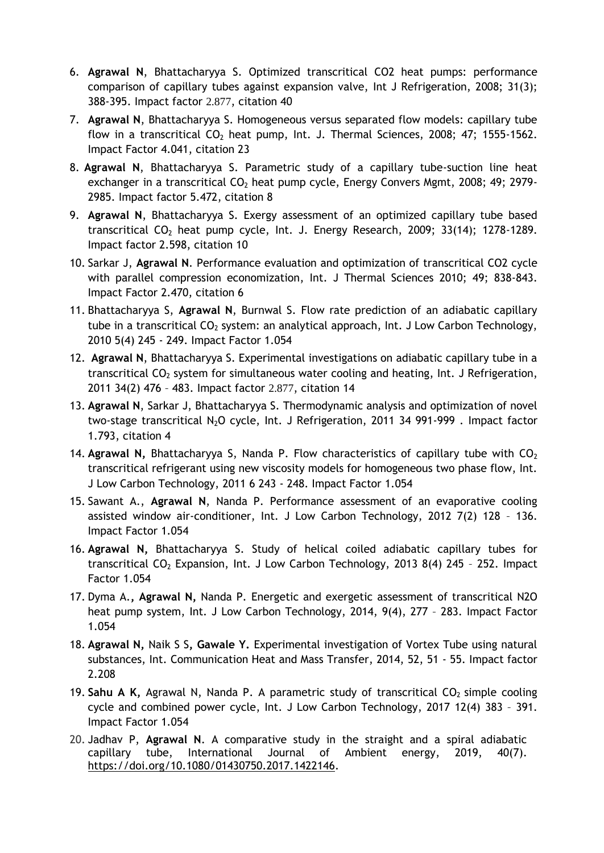- 6. **Agrawal N**, Bhattacharyya S. Optimized transcritical CO2 heat pumps: performance comparison of capillary tubes against expansion valve, Int J Refrigeration, 2008; 31(3); 388-395. Impact factor 2.877, citation 40
- 7. **Agrawal N**, Bhattacharyya S. Homogeneous versus separated flow models: capillary tube flow in a transcritical  $CO<sub>2</sub>$  heat pump, Int. J. Thermal Sciences, 2008; 47; 1555-1562. Impact Factor 4.041, citation 23
- 8. **Agrawal N**, Bhattacharyya S. Parametric study of a capillary tube-suction line heat exchanger in a transcritical  $CO<sub>2</sub>$  heat pump cycle, Energy Convers Mgmt, 2008; 49; 2979-2985. Impact factor 5.472, citation 8
- 9. **Agrawal N**, Bhattacharyya S. Exergy assessment of an optimized capillary tube based transcritical CO<sup>2</sup> heat pump cycle, Int. J. Energy Research, 2009; 33(14); 1278-1289. Impact factor 2.598, citation 10
- 10. Sarkar J, **Agrawal N**. Performance evaluation and optimization of transcritical CO2 cycle with parallel compression economization, Int. J Thermal Sciences 2010; 49; 838-843. Impact Factor 2.470, citation 6
- 11. Bhattacharyya S, **Agrawal N**, Burnwal S. Flow rate prediction of an adiabatic capillary tube in a transcritical  $CO<sub>2</sub>$  system: an analytical approach, Int. J Low Carbon Technology, 2010 5(4) 245 - 249. Impact Factor 1.054
- 12. **Agrawal N**, Bhattacharyya S. Experimental investigations on adiabatic capillary tube in a transcritical  $CO<sub>2</sub>$  system for simultaneous water cooling and heating, Int. J Refrigeration, 2011 34(2) 476 – 483. Impact factor 2.877, citation 14
- 13. **Agrawal N**, Sarkar J, Bhattacharyya S. Thermodynamic analysis and optimization of novel two-stage transcritical N<sub>2</sub>O cycle, Int. J Refrigeration, 2011 34 991-999 . Impact factor 1.793, citation 4
- 14. **Agrawal N, Bhattacharyya S, Nanda P. Flow characteristics of capillary tube with CO<sub>2</sub>** transcritical refrigerant using new viscosity models for homogeneous two phase flow, Int. J Low Carbon Technology, 2011 6 243 - 248. Impact Factor 1.054
- 15. Sawant A., **Agrawal N**, Nanda P. Performance assessment of an evaporative cooling assisted window air-conditioner, Int. J Low Carbon Technology, 2012 7(2) 128 – 136. Impact Factor 1.054
- 16. **Agrawal N,** Bhattacharyya S. Study of helical coiled adiabatic capillary tubes for transcritical  $CO<sub>2</sub>$  Expansion, Int. J Low Carbon Technology, 2013 8(4) 245 - 252. Impact Factor 1.054
- 17. Dyma A.**, Agrawal N,** Nanda P. Energetic and exergetic assessment of transcritical N2O heat pump system, Int. J Low Carbon Technology, 2014, 9(4), 277 – 283. Impact Factor 1.054
- 18. **Agrawal N,** Naik S S**, Gawale Y.** Experimental investigation of Vortex Tube using natural substances, Int. Communication Heat and Mass Transfer, 2014, 52, 51 - 55. Impact factor 2.208
- 19. Sahu A K, Agrawal N, Nanda P. A parametric study of transcritical CO<sub>2</sub> simple cooling cycle and combined power cycle, Int. J Low Carbon Technology, 2017 12(4) 383 – 391. Impact Factor 1.054
- 20. Jadhav P, **Agrawal N**. A comparative study in the straight and a spiral adiabatic capillary tube, International Journal of Ambient energy, 2019, 40(7). [https://doi.org/10.1080/01430750.2017.1422146.](https://doi.org/10.1080/01430750.2017.1422146)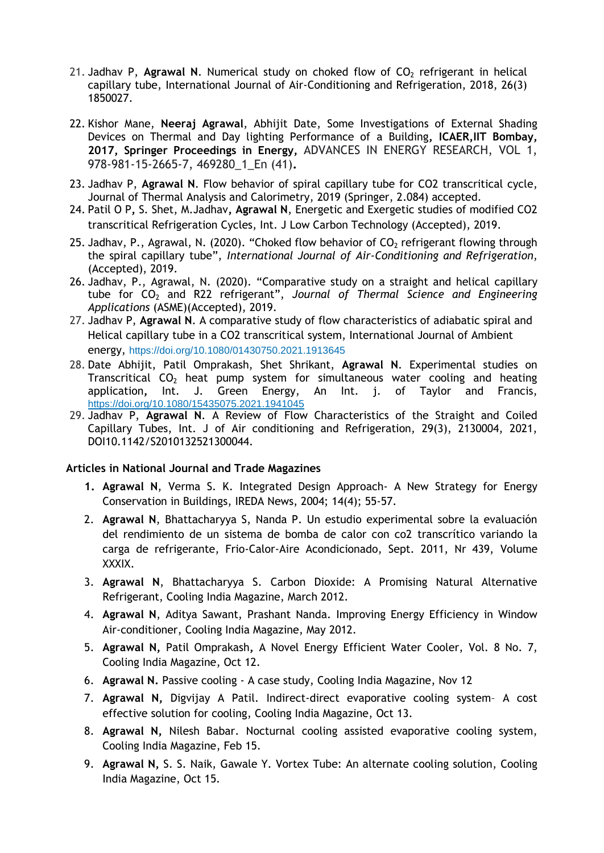- 21. Jadhav P, Agrawal N. Numerical study on choked flow of CO<sub>2</sub> refrigerant in helical capillary tube, International Journal of Air-Conditioning and Refrigeration, 2018, 26(3) 1850027.
- 22. Kishor Mane, **Neeraj Agrawal**, Abhijit Date, Some Investigations of External Shading Devices on Thermal and Day lighting Performance of a Building**, ICAER,IIT Bombay, 2017, Springer Proceedings in Energy,** ADVANCES IN ENERGY RESEARCH, VOL 1, 978-981-15-2665-7, 469280\_1\_En (41)**.**
- 23. Jadhav P, **Agrawal N**. Flow behavior of spiral capillary tube for CO2 transcritical cycle, Journal of Thermal Analysis and Calorimetry, 2019 (Springer, 2.084) accepted.
- 24. Patil O P**,** S. Shet, M.Jadhav**, Agrawal N**, Energetic and Exergetic studies of modified CO2 transcritical Refrigeration Cycles, Int. J Low Carbon Technology (Accepted), 2019.
- 25. Jadhav, P., Agrawal, N. (2020). "Choked flow behavior of  $CO<sub>2</sub>$  refrigerant flowing through the spiral capillary tube", *International Journal of Air-Conditioning and Refrigeration*, (Accepted), 2019.
- 26. Jadhav, P., Agrawal, N. (2020). "Comparative study on a straight and helical capillary tube for CO<sub>2</sub> and R22 refrigerant", *Journal of Thermal Science and Engineering Applications* (ASME)(Accepted), 2019.
- 27. Jadhav P, **Agrawal N**. A comparative study of flow characteristics of adiabatic spiral and Helical capillary tube in a CO2 transcritical system, International Journal of Ambient energy, <https://doi.org/10.1080/01430750.2021.1913645>
- 28. Date Abhijit, Patil Omprakash, Shet Shrikant, **Agrawal N**. Experimental studies on Transcritical  $CO<sub>2</sub>$  heat pump system for simultaneous water cooling and heating application**,** Int. J. Green Energy, An Int. j. of Taylor and Francis, <https://doi.org/10.1080/15435075.2021.1941045>
- 29. Jadhav P, **Agrawal N**. A Review of Flow Characteristics of the Straight and Coiled Capillary Tubes, Int. J of Air conditioning and Refrigeration, 29(3), 2130004, 2021, DOI10.1142/S2010132521300044.

#### **Articles in National Journal and Trade Magazines**

- **1. Agrawal N**, Verma S. K. Integrated Design Approach- A New Strategy for Energy Conservation in Buildings, IREDA News, 2004; 14(4); 55-57.
- 2. **Agrawal N**, Bhattacharyya S, Nanda P. Un estudio experimental sobre la evaluación del rendimiento de un sistema de bomba de calor con co2 transcrítico variando la carga de refrigerante, Frio-Calor-Aire Acondicionado, Sept. 2011, Nr 439, Volume XXXIX.
- 3. **Agrawal N**, Bhattacharyya S. Carbon Dioxide: A Promising Natural Alternative Refrigerant, Cooling India Magazine, March 2012.
- 4. **Agrawal N**, Aditya Sawant, Prashant Nanda. Improving Energy Efficiency in Window Air-conditioner, Cooling India Magazine, May 2012.
- 5. **Agrawal N,** Patil Omprakash**,** A Novel Energy Efficient Water Cooler, Vol. 8 No. 7, Cooling India Magazine, Oct 12.
- 6. **Agrawal N.** Passive cooling A case study, Cooling India Magazine, Nov 12
- 7. **Agrawal N,** Digvijay A Patil. Indirect-direct evaporative cooling system– A cost effective solution for cooling, Cooling India Magazine, Oct 13.
- 8. **Agrawal N,** Nilesh Babar. Nocturnal cooling assisted evaporative cooling system, Cooling India Magazine, Feb 15.
- 9. **Agrawal N,** S. S. Naik, Gawale Y. Vortex Tube: An alternate cooling solution, Cooling India Magazine, Oct 15.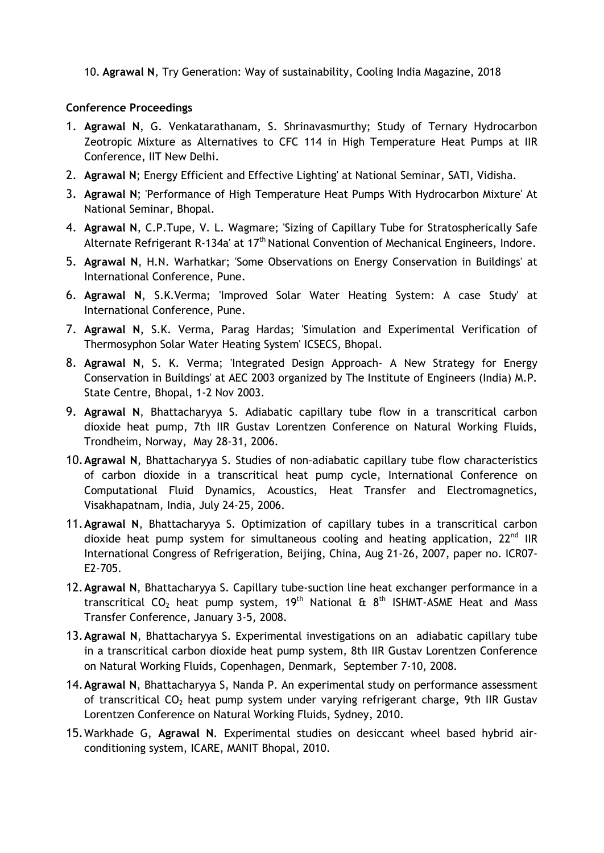10. **Agrawal N**, Try Generation: Way of sustainability, Cooling India Magazine, 2018

#### **Conference Proceedings**

- 1. **Agrawal N**, G. Venkatarathanam, S. Shrinavasmurthy; Study of Ternary Hydrocarbon Zeotropic Mixture as Alternatives to CFC 114 in High Temperature Heat Pumps at IIR Conference, IIT New Delhi.
- 2. **Agrawal N**; Energy Efficient and Effective Lighting' at National Seminar, SATI, Vidisha.
- 3. **Agrawal N**; 'Performance of High Temperature Heat Pumps With Hydrocarbon Mixture' At National Seminar, Bhopal.
- 4. **Agrawal N**, C.P.Tupe, V. L. Wagmare; 'Sizing of Capillary Tube for Stratospherically Safe Alternate Refrigerant R-134a' at  $17<sup>th</sup>$  National Convention of Mechanical Engineers, Indore.
- 5. **Agrawal N**, H.N. Warhatkar; 'Some Observations on Energy Conservation in Buildings' at International Conference, Pune.
- 6. **Agrawal N**, S.K.Verma; 'Improved Solar Water Heating System: A case Study' at International Conference, Pune.
- 7. **Agrawal N**, S.K. Verma, Parag Hardas; 'Simulation and Experimental Verification of Thermosyphon Solar Water Heating System' ICSECS, Bhopal.
- 8. **Agrawal N**, S. K. Verma; 'Integrated Design Approach- A New Strategy for Energy Conservation in Buildings' at AEC 2003 organized by The Institute of Engineers (India) M.P. State Centre, Bhopal, 1-2 Nov 2003.
- 9. **Agrawal N**, Bhattacharyya S. Adiabatic capillary tube flow in a transcritical carbon dioxide heat pump, 7th IIR Gustav Lorentzen Conference on Natural Working Fluids, Trondheim, Norway, May 28-31, 2006.
- 10.**Agrawal N**, Bhattacharyya S. Studies of non-adiabatic capillary tube flow characteristics of carbon dioxide in a transcritical heat pump cycle, International Conference on Computational Fluid Dynamics, Acoustics, Heat Transfer and Electromagnetics, Visakhapatnam, India, July 24-25, 2006.
- 11.**Agrawal N**, Bhattacharyya S. Optimization of capillary tubes in a transcritical carbon dioxide heat pump system for simultaneous cooling and heating application,  $22^{nd}$  IIR International Congress of Refrigeration, Beijing, China, Aug 21-26, 2007, paper no. ICR07- E2-705.
- 12.**Agrawal N**, Bhattacharyya S. Capillary tube-suction line heat exchanger performance in a transcritical CO<sub>2</sub> heat pump system, 19<sup>th</sup> National & 8<sup>th</sup> ISHMT-ASME Heat and Mass Transfer Conference, January 3-5, 2008.
- 13.**Agrawal N**, Bhattacharyya S. Experimental investigations on an adiabatic capillary tube in a transcritical carbon dioxide heat pump system, 8th IIR Gustav Lorentzen Conference on Natural Working Fluids, Copenhagen, Denmark, September 7-10, 2008.
- 14.**Agrawal N**, Bhattacharyya S, Nanda P. An experimental study on performance assessment of transcritical  $CO<sub>2</sub>$  heat pump system under varying refrigerant charge, 9th IIR Gustav Lorentzen Conference on Natural Working Fluids, Sydney, 2010.
- 15.Warkhade G, **Agrawal N**. Experimental studies on desiccant wheel based hybrid airconditioning system, ICARE, MANIT Bhopal, 2010.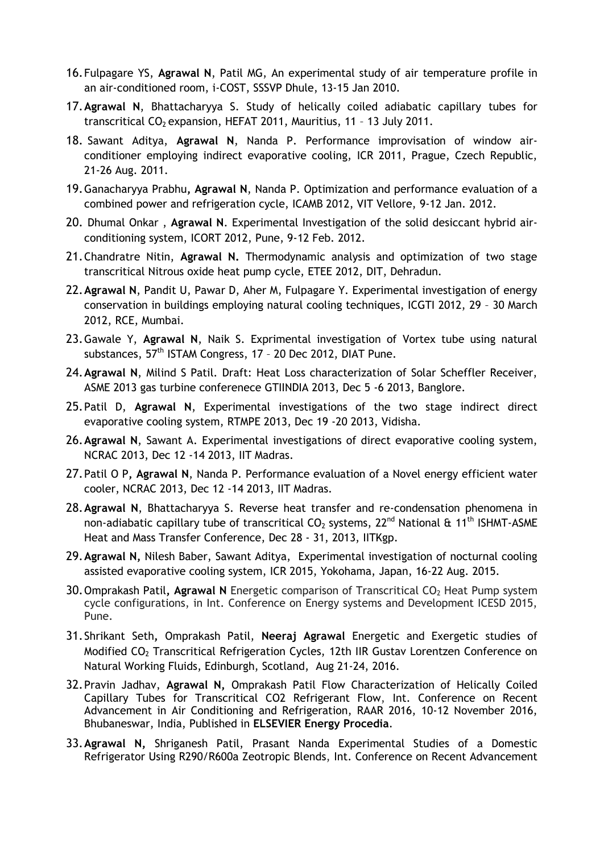- 16.Fulpagare YS, **Agrawal N**, Patil MG, An experimental study of air temperature profile in an air-conditioned room, i-COST, SSSVP Dhule, 13-15 Jan 2010.
- 17.**Agrawal N**, Bhattacharyya S. Study of helically coiled adiabatic capillary tubes for transcritical  $CO<sub>2</sub>$  expansion, HEFAT 2011, Mauritius, 11 - 13 July 2011.
- 18. Sawant Aditya, **Agrawal N**, Nanda P. Performance improvisation of window airconditioner employing indirect evaporative cooling, ICR 2011, Prague, Czech Republic, 21-26 Aug. 2011.
- 19.Ganacharyya Prabhu**, Agrawal N**, Nanda P. Optimization and performance evaluation of a combined power and refrigeration cycle, ICAMB 2012, VIT Vellore, 9-12 Jan. 2012.
- 20. Dhumal Onkar , **Agrawal N**. Experimental Investigation of the solid desiccant hybrid airconditioning system, ICORT 2012, Pune, 9-12 Feb. 2012.
- 21.Chandratre Nitin, **Agrawal N.** Thermodynamic analysis and optimization of two stage transcritical Nitrous oxide heat pump cycle, ETEE 2012, DIT, Dehradun.
- 22.**Agrawal N**, Pandit U, Pawar D, Aher M, Fulpagare Y. Experimental investigation of energy conservation in buildings employing natural cooling techniques, ICGTI 2012, 29 – 30 March 2012, RCE, Mumbai.
- 23.Gawale Y, **Agrawal N**, Naik S. Exprimental investigation of Vortex tube using natural substances, 57<sup>th</sup> ISTAM Congress, 17 - 20 Dec 2012, DIAT Pune.
- 24.**Agrawal N**, Milind S Patil. Draft: Heat Loss characterization of Solar Scheffler Receiver, ASME 2013 gas turbine conferenece GTIINDIA 2013, Dec 5 -6 2013, Banglore.
- 25.Patil D, **Agrawal N**, Experimental investigations of the two stage indirect direct evaporative cooling system, RTMPE 2013, Dec 19 -20 2013, Vidisha.
- 26.**Agrawal N**, Sawant A. Experimental investigations of direct evaporative cooling system, NCRAC 2013, Dec 12 -14 2013, IIT Madras.
- 27.Patil O P**, Agrawal N**, Nanda P. Performance evaluation of a Novel energy efficient water cooler, NCRAC 2013, Dec 12 -14 2013, IIT Madras.
- 28.**Agrawal N**, Bhattacharyya S. Reverse heat transfer and re-condensation phenomena in non-adiabatic capillary tube of transcritical  $CO<sub>2</sub>$  systems, 22<sup>nd</sup> National & 11<sup>th</sup> ISHMT-ASME Heat and Mass Transfer Conference, Dec 28 - 31, 2013, IITKgp.
- 29.**Agrawal N,** Nilesh Baber, Sawant Aditya, Experimental investigation of nocturnal cooling assisted evaporative cooling system, ICR 2015, Yokohama, Japan, 16-22 Aug. 2015.
- 30. Omprakash Patil, Agrawal N Energetic comparison of Transcritical CO<sub>2</sub> Heat Pump system cycle configurations, in Int. Conference on Energy systems and Development ICESD 2015, Pune.
- 31.Shrikant Seth**,** Omprakash Patil, **Neeraj Agrawal** Energetic and Exergetic studies of Modified CO<sup>2</sup> Transcritical Refrigeration Cycles, 12th IIR Gustav Lorentzen Conference on Natural Working Fluids, Edinburgh, Scotland, Aug 21-24, 2016.
- 32.Pravin Jadhav, **Agrawal N,** Omprakash Patil Flow Characterization of Helically Coiled Capillary Tubes for Transcritical CO2 Refrigerant Flow, Int. Conference on Recent Advancement in Air Conditioning and Refrigeration, RAAR 2016, 10-12 November 2016, Bhubaneswar, India, Published in **ELSEVIER Energy Procedia**.
- 33.**Agrawal N,** Shriganesh Patil, Prasant Nanda Experimental Studies of a Domestic Refrigerator Using R290/R600a Zeotropic Blends, Int. Conference on Recent Advancement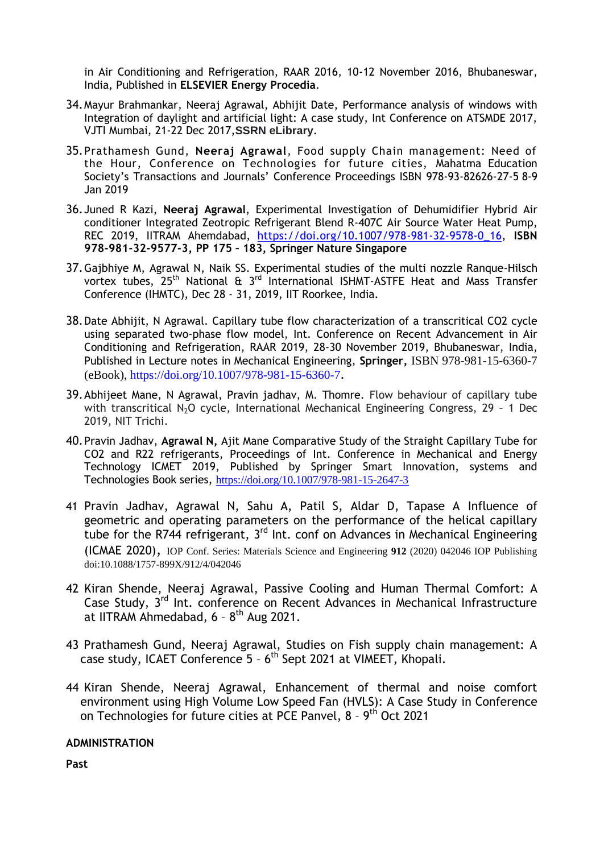in Air Conditioning and Refrigeration, RAAR 2016, 10-12 November 2016, Bhubaneswar, India, Published in **ELSEVIER Energy Procedia**.

- 34.Mayur Brahmankar, Neeraj Agrawal, Abhijit Date, Performance analysis of windows with Integration of daylight and artificial light: A case study, Int Conference on ATSMDE 2017, VJTI Mumbai, 21-22 Dec 2017,**SSRN eLibrary**.
- 35.Prathamesh Gund, **Neeraj Agrawal**, Food supply Chain management: Need of the Hour, Conference on Technologies for future cities, Mahatma Education Society's Transactions and Journals' Conference Proceedings ISBN 978-93-82626-27-5 8-9 Jan 2019
- 36.Juned R Kazi, **Neeraj Agrawal**, Experimental Investigation of Dehumidifier Hybrid Air conditioner Integrated Zeotropic Refrigerant Blend R-407C Air Source Water Heat Pump, REC 2019, IITRAM Ahemdabad, [https://doi.org/10.1007/978-981-32-9578-0\\_16,](https://doi.org/10.1007/978-981-32-9578-0_16) **ISBN 978-981-32-9577-3, PP 175 – 183, Springer Nature Singapore**
- 37.Gajbhiye M, Agrawal N, Naik SS. Experimental studies of the multi nozzle Ranque-Hilsch vortex tubes, 25th National & 3rd International ISHMT-ASTFE Heat and Mass Transfer Conference (IHMTC), Dec 28 - 31, 2019, IIT Roorkee, India.
- 38.Date Abhijit, N Agrawal. Capillary tube flow characterization of a transcritical CO2 cycle using separated two-phase flow model, Int. Conference on Recent Advancement in Air Conditioning and Refrigeration, RAAR 2019, 28-30 November 2019, Bhubaneswar, India, Published in Lecture notes in Mechanical Engineering, **Springer,** ISBN 978-981-15-6360-7 (eBook), https://doi.org/10.1007/978-981-15-6360-7.
- 39.Abhijeet Mane, N Agrawal, Pravin jadhav, M. Thomre. Flow behaviour of capillary tube with transcritical N<sub>2</sub>O cycle, International Mechanical Engineering Congress, 29 - 1 Dec 2019, NIT Trichi.
- 40.Pravin Jadhav, **Agrawal N,** Ajit Mane Comparative Study of the Straight Capillary Tube for CO2 and R22 refrigerants, Proceedings of Int. Conference in Mechanical and Energy Technology ICMET 2019, Published by Springer Smart Innovation, systems and Technologies Book series, <https://doi.org/10.1007/978-981-15-2647-3>
- 41 Pravin Jadhav, Agrawal N, Sahu A, Patil S, Aldar D, Tapase A Influence of geometric and operating parameters on the performance of the helical capillary tube for the R744 refrigerant, 3<sup>rd</sup> Int. conf on Advances in Mechanical Engineering (ICMAE 2020), IOP Conf. Series: Materials Science and Engineering **912** (2020) 042046 IOP Publishing doi:10.1088/1757-899X/912/4/042046
- 42 Kiran Shende, Neeraj Agrawal, Passive Cooling and Human Thermal Comfort: A Case Study, 3<sup>rd</sup> Int. conference on Recent Advances in Mechanical Infrastructure at IITRAM Ahmedabad,  $6 - 8$ <sup>th</sup> Aug 2021.
- 43 Prathamesh Gund, Neeraj Agrawal, Studies on Fish supply chain management: A case study, ICAET Conference 5 - 6<sup>th</sup> Sept 2021 at VIMEET, Khopali.
- 44 Kiran Shende, Neeraj Agrawal, Enhancement of thermal and noise comfort environment using High Volume Low Speed Fan (HVLS): A Case Study in Conference on Technologies for future cities at PCE Panvel, 8 - 9<sup>th</sup> Oct 2021

#### **ADMINISTRATION**

**Past**